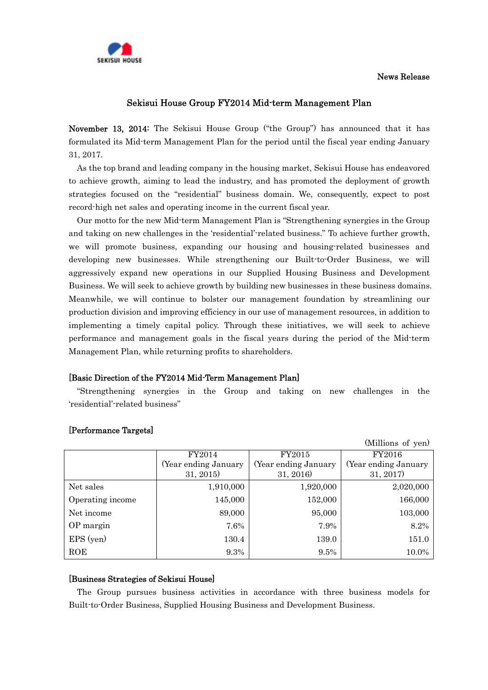### News Release



## Sekisui House Group FY2014 Mid-term Management Plan

November 13, 2014: The Sekisui House Group ("the Group") has announced that it has formulated its Mid-term Management Plan for the period until the fiscal year ending January 31, 2017.

As the top brand and leading company in the housing market, Sekisui House has endeavored to achieve growth, aiming to lead the industry, and has promoted the deployment of growth strategies focused on the "residential" business domain. We, consequently, expect to post record-high net sales and operating income in the current fiscal year.

Our motto for the new Mid-term Management Plan is "Strengthening synergies in the Group and taking on new challenges in the 'residential'-related business." To achieve further growth, we will promote business, expanding our housing and housing-related businesses and developing new businesses. While strengthening our Built-to-Order Business, we will aggressively expand new operations in our Supplied Housing Business and Development Business. We will seek to achieve growth by building new businesses in these business domains. Meanwhile, we will continue to bolster our management foundation by streamlining our production division and improving efficiency in our use of management resources, in addition to implementing a timely capital policy. Through these initiatives, we will seek to achieve performance and management goals in the fiscal years during the period of the Mid-term Management Plan, while returning profits to shareholders.

### [Basic Direction of the FY2014 Mid-Term Management Plan]

"Strengthening synergies in the Group and taking on new challenges in the 'residential'-related business"

|                  |                       |                      | (Millions of yen)    |
|------------------|-----------------------|----------------------|----------------------|
|                  | FY2014                | FY2015               | FY2016               |
|                  | (Year ending January) | Year ending January) | (Year ending January |
|                  | 31, 2015              | 31, 2016)            | 31, 2017             |
| Net sales        | 1,910,000             | 1,920,000            | 2,020,000            |
| Operating income | 145,000               | 152,000              | 166,000              |
| Net income       | 89,000                | 95,000               | 103,000              |
| OP margin        | 7.6%                  | 7.9%                 | 8.2%                 |
| EPS (yen)        | 130.4                 | 139.0                | 151.0                |
| ROE              | 9.3%                  | $9.5\%$              | 10.0%                |

### [Performance Targets]

### [Business Strategies of Sekisui House]

The Group pursues business activities in accordance with three business models for Built-to-Order Business, Supplied Housing Business and Development Business.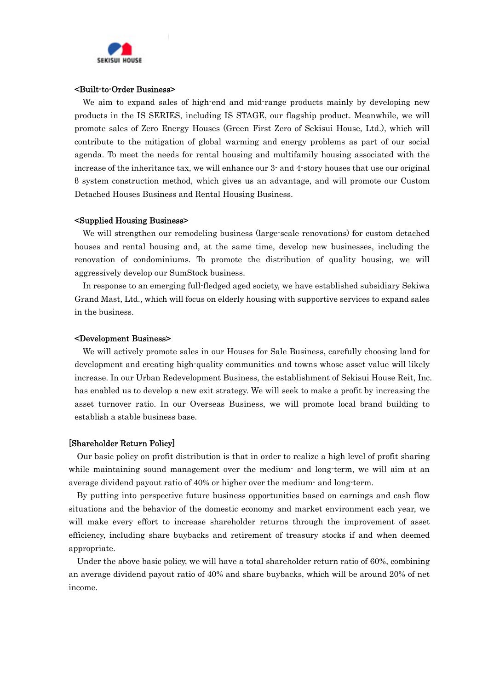

#### <Built-to-Order Business>

We aim to expand sales of high-end and mid-range products mainly by developing new products in the IS SERIES, including IS STAGE, our flagship product. Meanwhile, we will promote sales of Zero Energy Houses (Green First Zero of Sekisui House, Ltd.), which will contribute to the mitigation of global warming and energy problems as part of our social agenda. To meet the needs for rental housing and multifamily housing associated with the increase of the inheritance tax, we will enhance our 3- and 4-story houses that use our original β system construction method, which gives us an advantage, and will promote our Custom Detached Houses Business and Rental Housing Business.

#### <Supplied Housing Business>

We will strengthen our remodeling business (large-scale renovations) for custom detached houses and rental housing and, at the same time, develop new businesses, including the renovation of condominiums. To promote the distribution of quality housing, we will aggressively develop our SumStock business.

In response to an emerging full-fledged aged society, we have established subsidiary Sekiwa Grand Mast, Ltd., which will focus on elderly housing with supportive services to expand sales in the business.

#### <Development Business>

We will actively promote sales in our Houses for Sale Business, carefully choosing land for development and creating high-quality communities and towns whose asset value will likely increase. In our Urban Redevelopment Business, the establishment of Sekisui House Reit, Inc. has enabled us to develop a new exit strategy. We will seek to make a profit by increasing the asset turnover ratio. In our Overseas Business, we will promote local brand building to establish a stable business base.

### [Shareholder Return Policy]

Our basic policy on profit distribution is that in order to realize a high level of profit sharing while maintaining sound management over the medium- and long-term, we will aim at an average dividend payout ratio of 40% or higher over the medium- and long-term.

By putting into perspective future business opportunities based on earnings and cash flow situations and the behavior of the domestic economy and market environment each year, we will make every effort to increase shareholder returns through the improvement of asset efficiency, including share buybacks and retirement of treasury stocks if and when deemed appropriate.

Under the above basic policy, we will have a total shareholder return ratio of 60%, combining an average dividend payout ratio of 40% and share buybacks, which will be around 20% of net income.